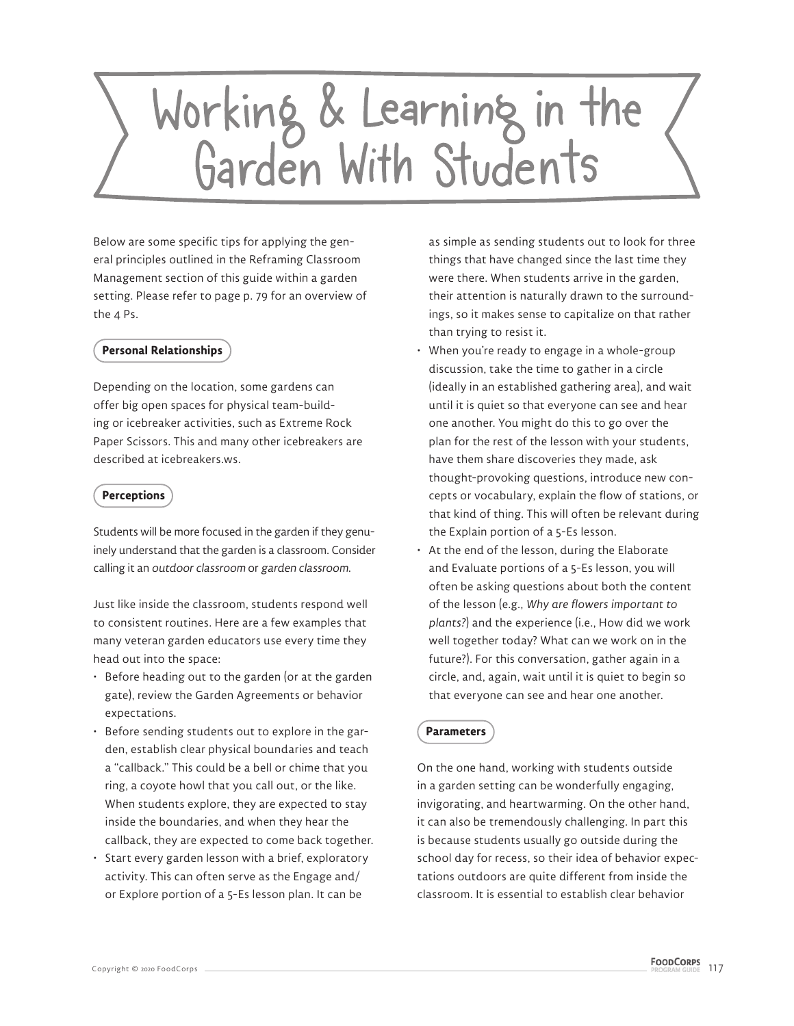# Working & Learning in the<br>Garden With Students

Below are some specific tips for applying the general principles outlined in the Reframing Classroom Management section of this guide within a garden setting. Please refer to page p. 79 for an overview of the 4 Ps.

### **Personal Relationships**

Depending on the location, some gardens can offer big open spaces for physical team-building or icebreaker activities, such as Extreme Rock Paper Scissors. This and many other icebreakers are described at icebreakers.ws.

# **Perceptions**

Students will be more focused in the garden if they genuinely understand that the garden is a classroom. Consider calling it an outdoor classroom or garden classroom.

Just like inside the classroom, students respond well to consistent routines. Here are a few examples that many veteran garden educators use every time they head out into the space:

- Before heading out to the garden (or at the garden gate), review the Garden Agreements or behavior expectations.
- Before sending students out to explore in the garden, establish clear physical boundaries and teach a "callback." This could be a bell or chime that you ring, a coyote howl that you call out, or the like. When students explore, they are expected to stay inside the boundaries, and when they hear the callback, they are expected to come back together.
- Start every garden lesson with a brief, exploratory activity. This can often serve as the Engage and/ or Explore portion of a 5-Es lesson plan. It can be

as simple as sending students out to look for three things that have changed since the last time they were there. When students arrive in the garden, their attention is naturally drawn to the surroundings, so it makes sense to capitalize on that rather than trying to resist it.

- When you're ready to engage in a whole-group discussion, take the time to gather in a circle (ideally in an established gathering area), and wait until it is quiet so that everyone can see and hear one another. You might do this to go over the plan for the rest of the lesson with your students, have them share discoveries they made, ask thought-provoking questions, introduce new concepts or vocabulary, explain the flow of stations, or that kind of thing. This will often be relevant during the Explain portion of a 5-Es lesson.
- At the end of the lesson, during the Elaborate and Evaluate portions of a 5-Es lesson, you will often be asking questions about both the content of the lesson (e.g., *Why are flowers important to plants?*) and the experience (i.e., How did we work well together today? What can we work on in the future?). For this conversation, gather again in a circle, and, again, wait until it is quiet to begin so that everyone can see and hear one another.

# **Parameters**

On the one hand, working with students outside in a garden setting can be wonderfully engaging, invigorating, and heartwarming. On the other hand, it can also be tremendously challenging. In part this is because students usually go outside during the school day for recess, so their idea of behavior expectations outdoors are quite different from inside the classroom. It is essential to establish clear behavior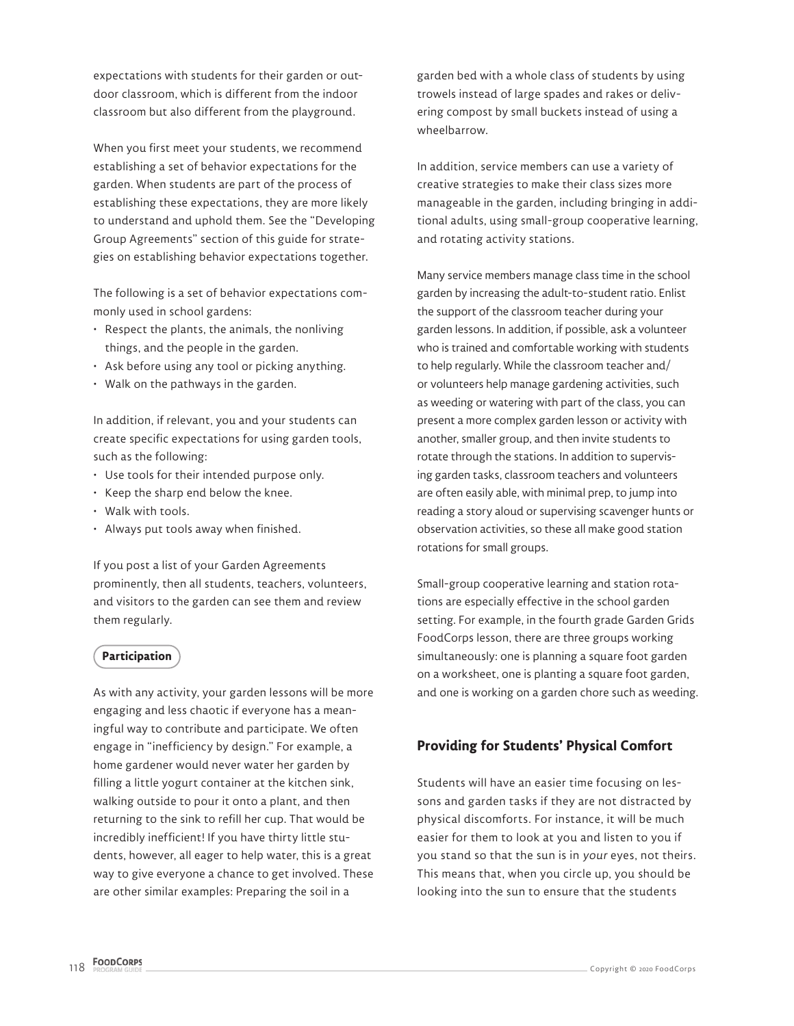expectations with students for their garden or outdoor classroom, which is different from the indoor classroom but also different from the playground.

When you first meet your students, we recommend establishing a set of behavior expectations for the garden. When students are part of the process of establishing these expectations, they are more likely to understand and uphold them. See the "Developing Group Agreements" section of this guide for strategies on establishing behavior expectations together.

The following is a set of behavior expectations commonly used in school gardens:

- Respect the plants, the animals, the nonliving things, and the people in the garden.
- Ask before using any tool or picking anything.
- Walk on the pathways in the garden.

In addition, if relevant, you and your students can create specific expectations for using garden tools, such as the following:

- Use tools for their intended purpose only.
- Keep the sharp end below the knee.
- Walk with tools.
- Always put tools away when finished.

If you post a list of your Garden Agreements prominently, then all students, teachers, volunteers, and visitors to the garden can see them and review them regularly.

### **Participation**

As with any activity, your garden lessons will be more engaging and less chaotic if everyone has a meaningful way to contribute and participate. We often engage in "inefficiency by design." For example, a home gardener would never water her garden by filling a little yogurt container at the kitchen sink, walking outside to pour it onto a plant, and then returning to the sink to refill her cup. That would be incredibly inefficient! If you have thirty little students, however, all eager to help water, this is a great way to give everyone a chance to get involved. These are other similar examples: Preparing the soil in a

garden bed with a whole class of students by using trowels instead of large spades and rakes or delivering compost by small buckets instead of using a wheelbarrow.

In addition, service members can use a variety of creative strategies to make their class sizes more manageable in the garden, including bringing in additional adults, using small-group cooperative learning, and rotating activity stations.

Many service members manage class time in the school garden by increasing the adult-to-student ratio. Enlist the support of the classroom teacher during your garden lessons. In addition, if possible, ask a volunteer who is trained and comfortable working with students to help regularly. While the classroom teacher and/ or volunteers help manage gardening activities, such as weeding or watering with part of the class, you can present a more complex garden lesson or activity with another, smaller group, and then invite students to rotate through the stations. In addition to supervising garden tasks, classroom teachers and volunteers are often easily able, with minimal prep, to jump into reading a story aloud or supervising scavenger hunts or observation activities, so these all make good station rotations for small groups.

Small-group cooperative learning and station rotations are especially effective in the school garden setting. For example, in the fourth grade Garden Grids FoodCorps lesson, there are three groups working simultaneously: one is planning a square foot garden on a worksheet, one is planting a square foot garden, and one is working on a garden chore such as weeding.

# **Providing for Students' Physical Comfort**

Students will have an easier time focusing on lessons and garden tasks if they are not distracted by physical discomforts. For instance, it will be much easier for them to look at you and listen to you if you stand so that the sun is in your eyes, not theirs. This means that, when you circle up, you should be looking into the sun to ensure that the students